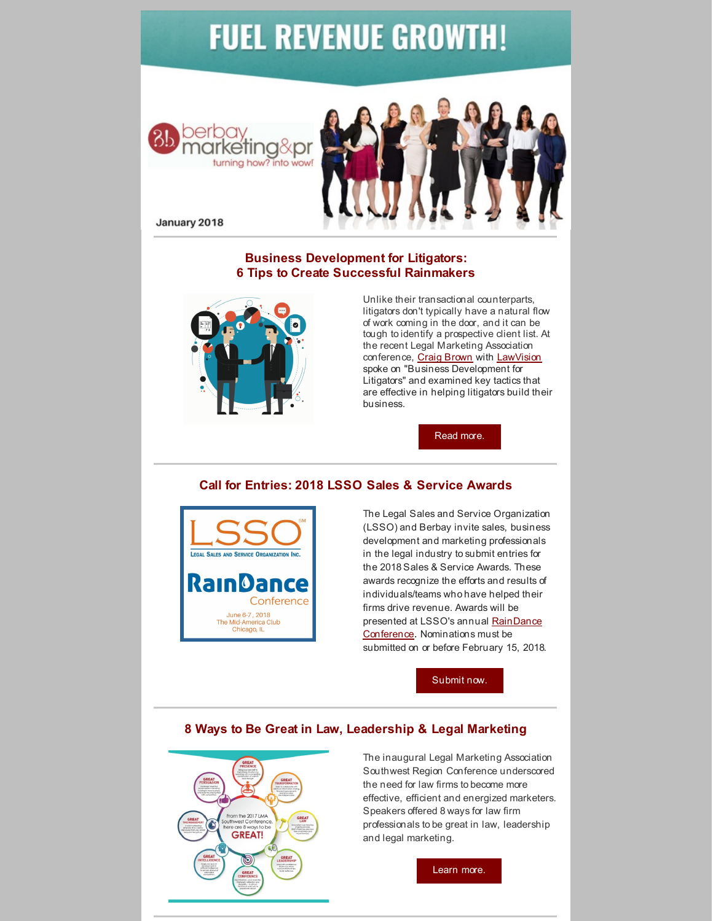# **FUEL REVENUE GROWTH!**





January 2018

## **Business Development for Litigators: 6 Tips to Create Successful Rainmakers**



Unlike their transactional counterparts, litigators don't typically have a natural flow of work coming in the door, and it can be tough to identify a prospective client list. At the recent Legal Marketing Association conference, Craig [Brown](http://lawvisiongroup.com/consultants/craig-brown/) with [LawVision](http://lawvisiongroup.com/) spoke on "Business Development for Litigators" and examined key tactics that are effective in helping litigators build their business.

[Read](http://bit.ly/bizdeve) more.

## **Call for Entries: 2018 LSSO Sales & Service Awards**



The Legal Sales and Service Organization (LSSO) and Berbay invite sales, business development and marketing professionals in the legal industry to submit entries for the 2018 Sales & Service Awards. These awards recognize the efforts and results of individuals/teams who have helped their firms drive revenue. Awards will be presented at LSSO's annual RainDance Conference. [Nominations](http://www.legalsales.org/RainDanceConference) must be submitted on or before February 15, 2018.

[Submit](http://bit.ly/BBLSSO) now.

## **8 Ways to Be Great in Law, Leadership & Legal Marketing**



The inaugural Legal Marketing Association Southwest Region Conference underscored the need for law firms to become more effective, efficient and energized marketers. Speakers offered 8 ways for law firm professionals to be great in law, leadership and legal marketing.

[Learn](http://bit.ly/LMASWinfo) more.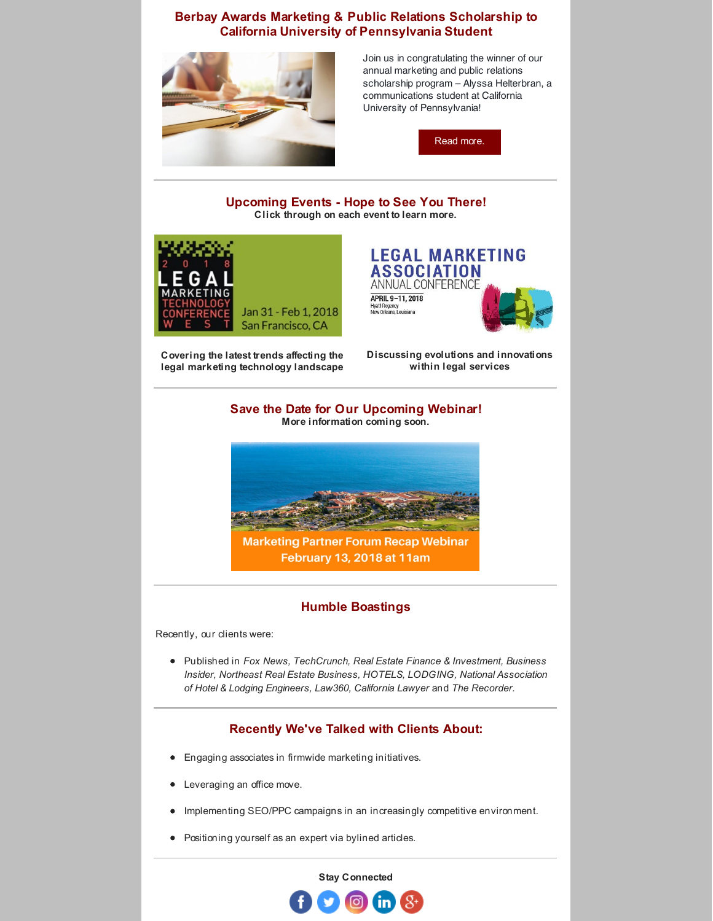#### **Berbay Awards Marketing & Public Relations Scholarship to California University of Pennsylvania Student**



Join us in congratulating the winner of our annual marketing and public relations scholarship program – Alyssa Helterbran, a communications student at California University of Pennsylvania!

[Read](http://bit.ly/scholarshipwin17) more.

#### **Upcoming Events - Hope to See You There! Click through on each event to learn more.**



**LEGAL MARKETING ASSOCIATION** ANNUAL CONFERENCE APRIL 9-11, 2018 Hyatt Regency<br>New Orleans, Louisiana

**Covering the latest trends affecting the legal marketing technology landscape** **Discussing evolutions and innovations within legal services**

#### **Save the Date for Our Upcoming Webinar! More information coming soon.**



### **Humble Boastings**

Recently, our clients were:

Published in *Fox News, TechCrunch, Real Estate Finance & Investment, Business Insider, Northeast Real Estate Business, HOTELS, LODGING, National Association of Hotel & Lodging Engineers, Law360, California Lawyer* and *The Recorder.*

## **Recently We've Talked with Clients About:**

- Engaging associates in firmwide marketing initiatives.
- Leveraging an office move.
- Implementing SEO/PPC campaigns in an increasingly competitive environment.  $\bullet$
- Positioning yourself as an expert via bylined articles.